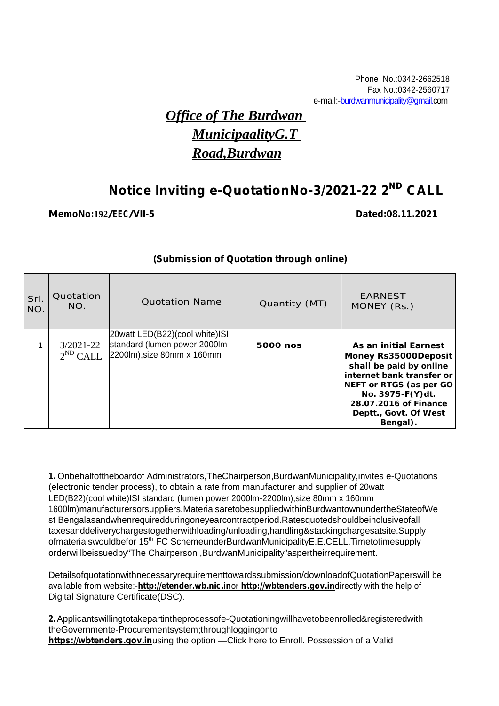# *Office of The Burdwan MunicipaalityG.T Road,Burdwan*

# **Notice Inviting e-QuotationNo-3/2021-22 2 ND CALL**

#### **MemoNo:192/EEC/VII-5 Dated:08.11.2021**

#### **(Submission of Quotation through online)**

| Srl.<br>NO. | Quotation<br>NO.               | <b>Quotation Name</b>                                                                         | Quantity (MT) | <b>EARNEST</b><br>MONEY (Rs.)                                                                                                                                                                                      |  |
|-------------|--------------------------------|-----------------------------------------------------------------------------------------------|---------------|--------------------------------------------------------------------------------------------------------------------------------------------------------------------------------------------------------------------|--|
| ◄           | $3/2021 - 22$<br>$2^{ND}$ CALL | 20watt LED(B22)(cool white)ISI<br>standard (lumen power 2000lm-<br>2200lm), size 80mm x 160mm | 5000 nos      | As an initial Earnest<br>Money Rs35000Deposit<br>shall be paid by online<br>internet bank transfer or<br>NEFT or RTGS (as per GO<br>No. 3975-F(Y)dt.<br>28.07.2016 of Finance<br>Deptt., Govt. Of West<br>Bengal). |  |

**1.** Onbehalfoftheboardof Administrators,TheChairperson,BurdwanMunicipality,invites e-Quotations (electronic tender process), to obtain a rate from manufacturer and supplier of 20watt LED(B22)(cool white)ISI standard (lumen power 2000lm-2200lm),size 80mm x 160mm 1600lm)manufacturersorsuppliers.MaterialsaretobesuppliedwithinBurdwantownundertheStateofWe st Bengalasandwhenrequiredduringoneyearcontractperiod.Ratesquotedshouldbeinclusiveofall taxesanddeliverychargestogetherwithloading/unloading,handling&stackingchargesatsite.Supply ofmaterialswouldbefor 15<sup>th</sup> FC SchemeunderBurdwanMunicipalityE.E.CELL.Timetotimesupply orderwillbeissuedby"The Chairperson ,BurdwanMunicipality"aspertheirrequirement.

Detailsofquotationwithnecessaryrequirementtowardssubmission/downloadofQuotationPaperswill be available from website:-*http://etender.wb.nic.in*or *http://wbtenders.gov.in*directly with the help of Digital Signature Certificate(DSC).

2. Applicantswillingtotakepartintheprocessofe-Quotationingwillhavetobeenrolled&registeredwith theGovernmente-Procurementsystem;throughloggingonto **https://wbtenders.gov.in**using the option —Click here to Enroll. Possession of a Valid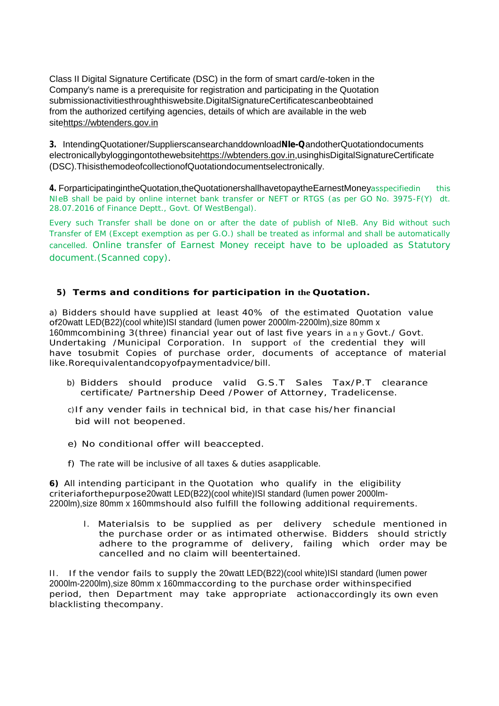Class II Digital Signature Certificate (DSC) in the form of smart card/e-token in the Company's name is a prerequisite for registration and participating in the Quotation submissionactivitiesthroughthiswebsite.DigitalSignatureCertificatescanbeobtained from the authorized certifying agencies, details of which are available in the web sitehttps://wbtenders.gov.in

**3.** IntendingQuotationer/Supplierscansearchanddownload**NIe-Q**andotherQuotationdocuments electronicallybyloggingontothewebsitehttps://wbtenders.gov.in,usinghisDigitalSignatureCertificate (DSC).ThisisthemodeofcollectionofQuotationdocumentselectronically.

**4.** ForparticipatingintheQuotation,theQuotationershallhavetopaytheEarnestMoneyasspecifiedin this NIeB shall be paid by online internet bank transfer or NEFT or RTGS (as per GO No. 3975-F(Y) dt. 28.07.2016 of Finance Deptt., Govt. Of WestBengal).

Every such Transfer shall be done on or after the date of publish of NIeB. Any Bid without such Transfer of EM (Except exemption as per G.O.) shall be treated as informal and shall be automatically cancelled. Online transfer of Earnest Money receipt have to be uploaded as Statutory document.(Scanned copy).

**5) Terms and conditions for participation in the Quotation.**

a) Bidders should have supplied at least 40% of the estimated Quotation value of20watt LED(B22)(cool white)ISI standard (lumen power 2000lm-2200lm),size 80mm x 160mmcombining 3(three) financial year out of last five years in a n y Govt./ Govt. Undertaking /Municipal Corporation. In support of the credential they will have tosubmit Copies of purchase order, documents of acceptance of material like.Rorequivalentandcopyofpaymentadvice/bill.

- b) Bidders should produce valid G.S.T Sales Tax/P.T clearance certificate/ Partnership Deed /Power of Attorney, Tradelicense.
- c)If any vender fails in technical bid, in that case his/her financial bid will not beopened.
- e) No conditional offer will beaccepted.
- f) The rate will be inclusive of all taxes & duties asapplicable.

**6)** All intending participant in the Quotation who qualify in the eligibility criteriaforthepurpose20watt LED(B22)(cool white)ISI standard (lumen power 2000lm- 2200lm),size 80mm x 160mmshould also fulfill the following additional requirements.

I. Materialsis to be supplied as per delivery schedule mentioned in the purchase order or as intimated otherwise. Bidders should strictly adhere to the programme of delivery, failing which order may be cancelled and no claim will beentertained.

II. If the vendor fails to supply the 20watt LED(B22)(cool white)ISI standard (lumen power 2000lm-2200lm),size 80mm x 160mmaccording to the purchase order withinspecified period, then Department may take appropriate actionaccordingly its own even blacklisting thecompany.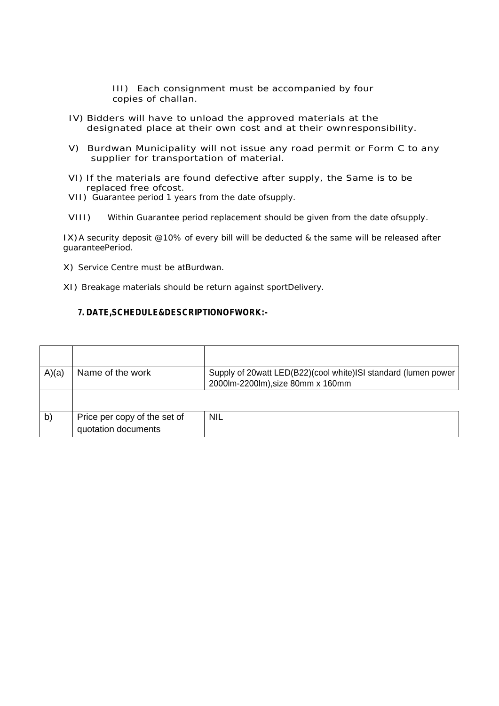III) Each consignment must be accompanied by four copies of challan.

- IV) Bidders will have to unload the approved materials at the designated place at their own cost and at their ownresponsibility.
- V) Burdwan Municipality will not issue any road permit or Form C to any supplier for transportation of material.
- VI) If the materials are found defective after supply, the Same is to be replaced free ofcost.
- VII) Guarantee period 1 years from the date ofsupply.
- VIII) Within Guarantee period replacement should be given from the date ofsupply.

IX)A security deposit @10% of every bill will be deducted & the same will be released after guaranteePeriod.

- X) Service Centre must be atBurdwan.
- XI) Breakage materials should be return against sportDelivery.

#### **7. DATE,SCHEDULE&DESCRIPTIONOFWORK:-**

| A)(a) | Name of the work                                    | Supply of 20watt LED(B22)(cool white)ISI standard (lumen power<br>2000lm-2200lm), size 80mm x 160mm |
|-------|-----------------------------------------------------|-----------------------------------------------------------------------------------------------------|
|       |                                                     |                                                                                                     |
| b)    | Price per copy of the set of<br>quotation documents | <b>NIL</b>                                                                                          |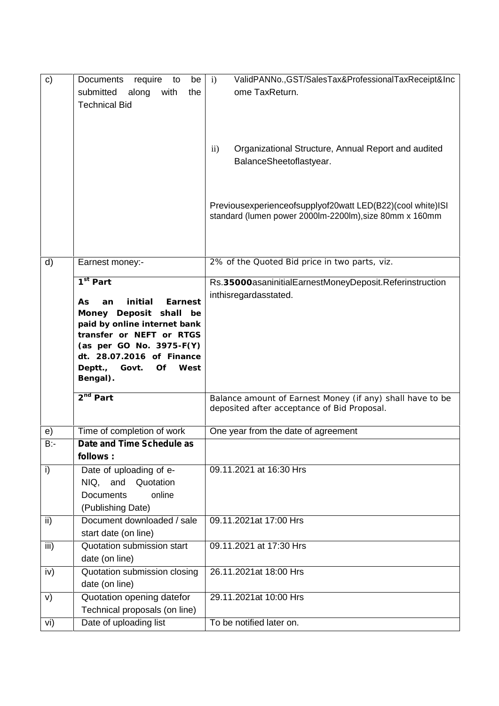| c)           | Documents<br>require<br>be<br>to<br>submitted<br>along<br>with<br>the<br><b>Technical Bid</b>                                                                                                                                                       | ValidPANNo., GST/SalesTax&ProfessionalTaxReceipt&Inc<br>$\mathbf{i}$<br>ome TaxReturn.                                |
|--------------|-----------------------------------------------------------------------------------------------------------------------------------------------------------------------------------------------------------------------------------------------------|-----------------------------------------------------------------------------------------------------------------------|
|              |                                                                                                                                                                                                                                                     | Organizational Structure, Annual Report and audited<br>$\rm ii)$<br>BalanceSheetoflastyear.                           |
|              |                                                                                                                                                                                                                                                     | Previousexperienceofsupplyof20watt LED(B22)(cool white)ISI<br>standard (lumen power 2000lm-2200lm), size 80mm x 160mm |
| $\mathsf{d}$ | Earnest money:-                                                                                                                                                                                                                                     | 2% of the Quoted Bid price in two parts, viz.                                                                         |
|              | 1 <sup>st</sup> Part<br>initial<br>Earnest<br>As<br>an<br>Money Deposit shall<br>be<br>paid by online internet bank<br>transfer or NEFT or RTGS<br>(as per GO No. 3975-F(Y)<br>dt. 28.07.2016 of Finance<br>Deptt., Govt.<br>Of<br>West<br>Bengal). | Rs.35000asaninitialEarnestMoneyDeposit.Referinstruction<br>inthisregardasstated.                                      |
|              | 2 <sup>nd</sup> Part                                                                                                                                                                                                                                | Balance amount of Earnest Money (if any) shall have to be<br>deposited after acceptance of Bid Proposal.              |
| e)<br>$B -$  | Time of completion of work<br>Date and Time Schedule as<br>follows:                                                                                                                                                                                 | One year from the date of agreement                                                                                   |
| i)           | Date of uploading of e-<br>NIQ,<br>and<br>Quotation<br><b>Documents</b><br>online<br>(Publishing Date)                                                                                                                                              | 09.11.2021 at 16:30 Hrs                                                                                               |
| ii)          | Document downloaded / sale<br>start date (on line)                                                                                                                                                                                                  | 09.11.2021at 17:00 Hrs                                                                                                |
| iii)         | Quotation submission start<br>date (on line)                                                                                                                                                                                                        | 09.11.2021 at 17:30 Hrs                                                                                               |
| iv)          | Quotation submission closing<br>date (on line)                                                                                                                                                                                                      | 26.11.2021at 18:00 Hrs                                                                                                |
| V)           | Quotation opening datefor<br>Technical proposals (on line)                                                                                                                                                                                          | 29.11.2021at 10:00 Hrs                                                                                                |
| vi)          | Date of uploading list                                                                                                                                                                                                                              | To be notified later on.                                                                                              |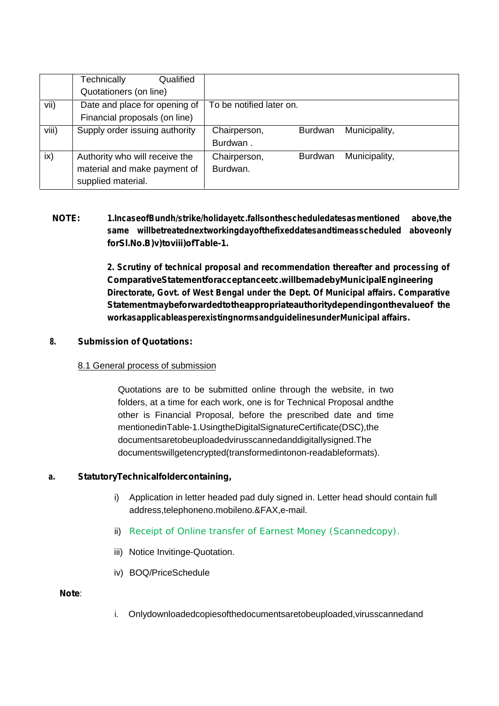|       | Technically<br>Qualified       |                          |                |               |
|-------|--------------------------------|--------------------------|----------------|---------------|
|       | Quotationers (on line)         |                          |                |               |
| vii)  | Date and place for opening of  | To be notified later on. |                |               |
|       | Financial proposals (on line)  |                          |                |               |
| viii) | Supply order issuing authority | Chairperson,             | <b>Burdwan</b> | Municipality, |
|       |                                | Burdwan.                 |                |               |
| ix)   | Authority who will receive the | Chairperson,             | <b>Burdwan</b> | Municipality, |
|       | material and make payment of   | Burdwan.                 |                |               |
|       | supplied material.             |                          |                |               |

# **NOTE: 1.IncaseofBundh/strike/holidayetc.fallsonthescheduledatesasmentioned above,the same willbetreatednextworkingdayofthefixeddatesandtimeasscheduled aboveonly forSl.No.B)v)toviii)ofTable-1.**

**2. Scrutiny of technical proposal and recommendation thereafter and processing of ComparativeStatementforacceptanceetc.willbemadebyMunicipalEngineering Directorate, Govt. of West Bengal under the Dept. Of Municipal affairs. Comparative Statementmaybeforwardedtotheappropriateauthoritydependingonthevalueof the workasapplicableasperexistingnormsandguidelinesunderMunicipal affairs.**

#### **8. Submission of Quotations:**

#### 8.1 General process of submission

Quotations are to be submitted online through the website, in two folders, at a time for each work, one is for Technical Proposal andthe other is Financial Proposal, before the prescribed date and time mentionedinTable-1.UsingtheDigitalSignatureCertificate(DSC),the documentsaretobeuploadedvirusscannedanddigitallysigned.The documentswillgetencrypted(transformedintonon-readableformats).

## **a. StatutoryTechnicalfoldercontaining,**

- i) Application in letter headed pad duly signed in. Letter head should contain full address,telephoneno.mobileno.&FAX,e-mail.
- ii) Receipt of Online transfer of Earnest Money (Scannedcopy).
- iii) Notice Invitinge-Quotation.
- iv) BOQ/PriceSchedule

#### **Note**:

i. Onlydownloadedcopiesofthedocumentsaretobeuploaded,virusscannedand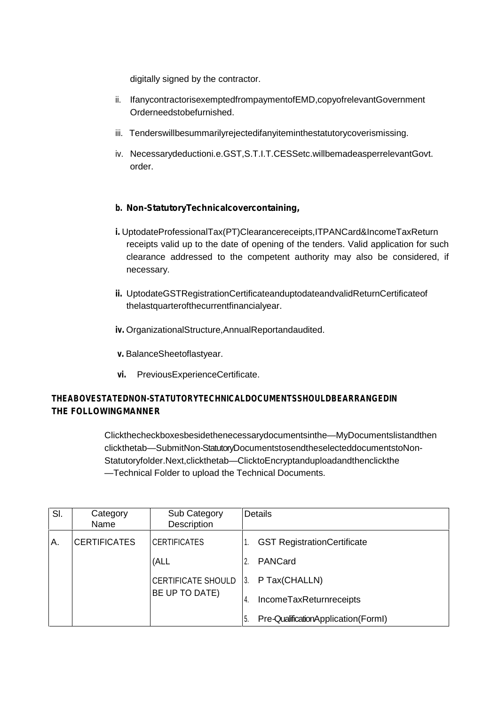digitally signed by the contractor.

- ii. IfanycontractorisexemptedfrompaymentofEMD,copyofrelevantGovernment Orderneedstobefurnished.
- iii. Tenderswillbesummarilyrejectedifanyiteminthestatutorycoverismissing.
- iv. Necessarydeductioni.e.GST,S.T.I.T.CESSetc.willbemadeasperrelevantGovt. order.

### **b. Non-StatutoryTechnicalcovercontaining,**

- **i.** UptodateProfessionalTax(PT)Clearancereceipts,ITPANCard&IncomeTaxReturn receipts valid up to the date of opening of the tenders. Valid application for such clearance addressed to the competent authority may also be considered, if necessary.
- **ii.** UptodateGSTRegistrationCertificateanduptodateandvalidReturnCertificateof thelastquarterofthecurrentfinancialyear.
- **iv.** OrganizationalStructure,AnnualReportandaudited.
- **v.** BalanceSheetoflastyear.
- **vi.** PreviousExperienceCertificate.

## **THEABOVESTATEDNON-STATUTORYTECHNICALDOCUMENTSSHOULDBEARRANGEDIN THE FOLLOWINGMANNER**

Clickthecheckboxesbesidethenecessarydocumentsinthe―MyDocumentslistandthen clickthetab―SubmitNon-StatutoryDocumentstosendtheselecteddocumentstoNon- Statutoryfolder.Next,clickthetab ClicktoEncryptanduploadandthenclickthe Technical Folder to upload the Technical Documents.

| SI. | Category            | Sub Category              | Details                                   |
|-----|---------------------|---------------------------|-------------------------------------------|
|     | Name                | Description               |                                           |
| А.  | <b>CERTIFICATES</b> | <b>CERTIFICATES</b>       | <b>GST RegistrationCertificate</b>        |
|     |                     | (ALL                      | PANCard                                   |
|     |                     | <b>CERTIFICATE SHOULD</b> | P Tax(CHALLN)<br>3.                       |
|     |                     | BE UP TO DATE)            | IncomeTaxReturnreceipts<br>4.             |
|     |                     |                           | Pre-QualificationApplication(FormI)<br>5. |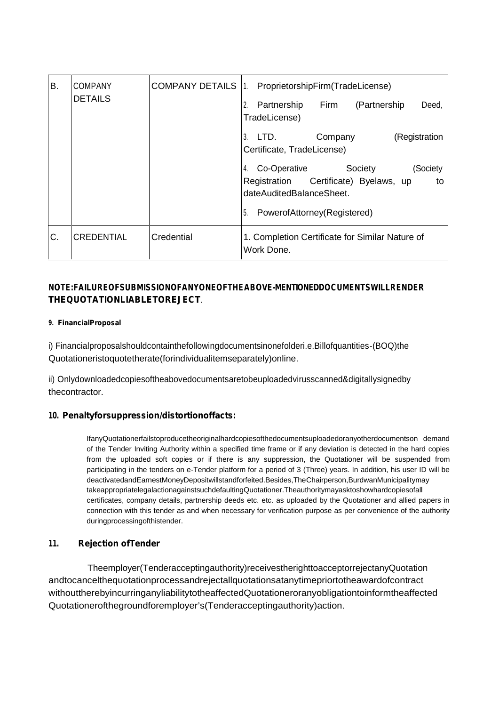| B. | <b>COMPANY</b>    | <b>COMPANY DETAILS 11.</b> | ProprietorshipFirm(TradeLicense)                                                                                                                             |
|----|-------------------|----------------------------|--------------------------------------------------------------------------------------------------------------------------------------------------------------|
|    | <b>DETAILS</b>    |                            | Partnership<br>(Partnership)<br>Firm<br>Deed,<br>TradeLicense)                                                                                               |
|    |                   |                            | (Registration<br>LTD.<br>Company<br>3.<br>Certificate, TradeLicense)                                                                                         |
|    |                   |                            | Co-Operative<br>Society<br>(Society<br>4.<br>Certificate) Byelaws, up<br>Registration<br>to<br>dateAuditedBalanceSheet.<br>PowerofAttorney(Registered)<br>5. |
| C. | <b>CREDENTIAL</b> | Credential                 | 1. Completion Certificate for Similar Nature of<br>Work Done.                                                                                                |

# **NOTE:FAILUREOFSUBMISSIONOFANYONEOFTHEABOVE-MENTIONEDDOCUMENTSWILLRENDER THEQUOTATIONLIABLETOREJECT**.

#### **9. FinancialProposal**

i) Financialproposalshouldcontainthefollowingdocumentsinonefolderi.e.Billofquantities-(BOQ)the Quotationeristoquotetherate(forindividualitemseparately)online.

ii) Onlydownloadedcopiesoftheabovedocumentsaretobeuploadedvirusscanned&digitallysignedby thecontractor.

#### **10. Penaltyforsuppression/distortionoffacts:**

IfanyQuotationerfailstoproducetheoriginalhardcopiesofthedocumentsuploadedoranyotherdocumentson demand of the Tender Inviting Authority within a specified time frame or if any deviation is detected in the hard copies from the uploaded soft copies or if there is any suppression, the Quotationer will be suspended from participating in the tenders on e-Tender platform for a period of 3 (Three) years. In addition, his user ID will be deactivatedandEarnestMoneyDepositwillstandforfeited.Besides,TheChairperson,BurdwanMunicipalitymay takeappropriatelegalactionagainstsuchdefaultingQuotationer.Theauthoritymayasktoshowhardcopiesofall certificates, company details, partnership deeds etc. etc. as uploaded by the Quotationer and allied papers in connection with this tender as and when necessary for verification purpose as per convenience of the authority duringprocessingofthistender.

#### **11. Rejection ofTender**

Theemployer(Tenderacceptingauthority)receivestherighttoacceptorrejectanyQuotation andtocancelthequotationprocessandrejectallquotationsatanytimepriortotheawardofcontract withouttherebyincurringanyliabilitytotheaffectedQuotationeroranyobligationtoinformtheaffected Quotationerofthegroundforemployer's(Tenderacceptingauthority)action.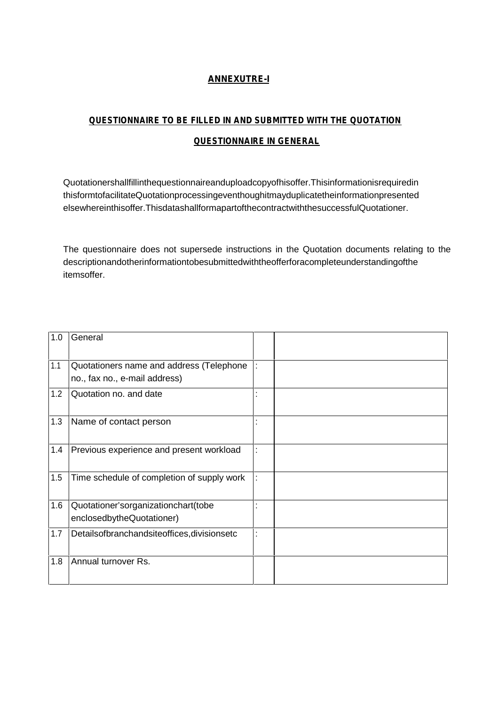# *ANNEXUTRE-I*

# *QUESTIONNAIRE TO BE FILLED IN AND SUBMITTED WITH THE QUOTATION QUESTIONNAIRE IN GENERAL*

Quotationershallfillinthequestionnaireanduploadcopyofhisoffer.Thisinformationisrequiredin thisformtofacilitateQuotationprocessingeventhoughitmayduplicatetheinformationpresented elsewhereinthisoffer.ThisdatashallformapartofthecontractwiththesuccessfulQuotationer.

The questionnaire does not supersede instructions in the Quotation documents relating to the descriptionandotherinformationtobesubmittedwiththeofferforacompleteunderstandingofthe itemsoffer.

| 1.0 | General                                          |  |
|-----|--------------------------------------------------|--|
| 1.1 | Quotationers name and address (Telephone         |  |
|     | no., fax no., e-mail address)                    |  |
| 1.2 | Quotation no. and date                           |  |
| 1.3 | Name of contact person                           |  |
| 1.4 | Previous experience and present workload         |  |
| 1.5 | Time schedule of completion of supply work       |  |
| 1.6 | Quotationer'sorganizationchart(tobe              |  |
|     | enclosedbytheQuotationer)                        |  |
| 1.7 | Details of branchands ite offices, divisionset c |  |
| 1.8 | Annual turnover Rs.                              |  |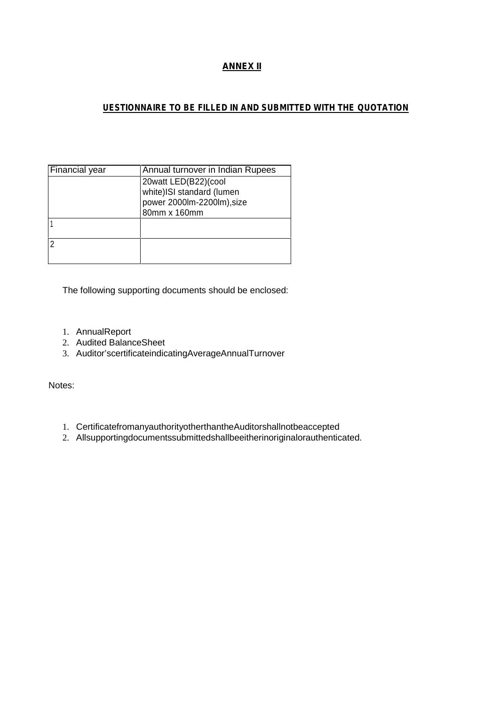# *ANNEX II*

# *UESTIONNAIRE TO BE FILLED IN AND SUBMITTED WITH THE QUOTATION*

| 20watt LED(B22)(cool<br>white)ISI standard (lumen |
|---------------------------------------------------|
|                                                   |
|                                                   |
| power 2000lm-2200lm), size                        |
| 80mm x 160mm                                      |
|                                                   |
|                                                   |
|                                                   |
|                                                   |
|                                                   |

The following supporting documents should be enclosed:

- 1. AnnualReport
- 2. Audited BalanceSheet
- 3. Auditor'scertificateindicatingAverageAnnualTurnover

Notes:

- 1. CertificatefromanyauthorityotherthantheAuditorshallnotbeaccepted
- 2. Allsupportingdocumentssubmittedshallbeeitherinoriginalorauthenticated.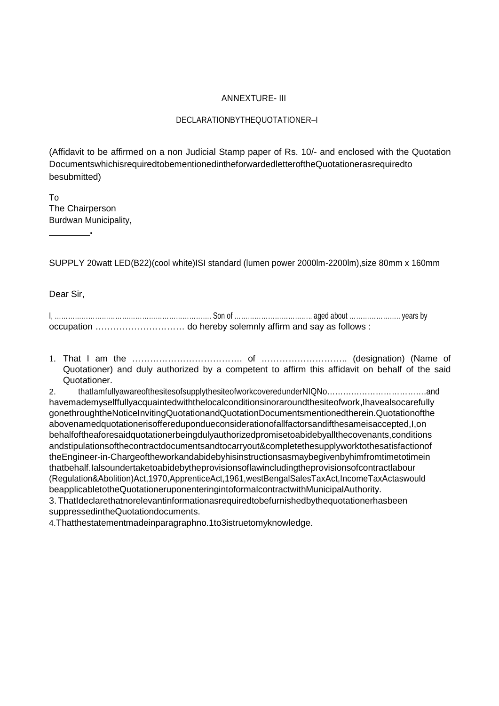#### ANNEXTURE- III

#### DECLARATIONBYTHEQUOTATIONER–I

(Affidavit to be affirmed on a non Judicial Stamp paper of Rs. 10/- and enclosed with the Quotation DocumentswhichisrequiredtobementionedintheforwardedletteroftheQuotationerasrequiredto besubmitted)

To The Chairperson Burdwan Municipality,

**.**

SUPPLY 20watt LED(B22)(cool white)ISI standard (lumen power 2000lm-2200lm),size 80mm x 160mm

Dear Sir,

1. That I am the ………………………………. of ……………………….. (designation) (Name of Quotationer) and duly authorized by a competent to affirm this affidavit on behalf of the said Quotationer.

2. thatIamfullyawareofthesitesofsupplythesiteofworkcoveredunderNIQNo……………………………….and havemademyselffullyacquaintedwiththelocalconditionsinoraroundthesiteofwork,Ihavealsocarefully gonethroughtheNoticeInvitingQuotationandQuotationDocumentsmentionedtherein.Quotationofthe abovenamedquotationerisofferedupondueconsiderationofallfactorsandifthesameisaccepted,I,on behalfoftheaforesaidquotationerbeingdulyauthorizedpromisetoabidebyallthecovenants,conditions andstipulationsofthecontractdocumentsandtocarryout&completethesupplyworktothesatisfactionof theEngineer-in-Chargeoftheworkandabidebyhisinstructionsasmaybegivenbyhimfromtimetotimein thatbehalf.Ialsoundertaketoabidebytheprovisionsoflawincludingtheprovisionsofcontractlabour (Regulation&Abolition)Act,1970,ApprenticeAct,1961,westBengalSalesTaxAct,IncomeTaxActaswould beapplicabletotheQuotationeruponenteringintoformalcontractwithMunicipalAuthority. 3. ThatIdeclarethatnorelevantinformationasrequiredtobefurnishedbythequotationerhasbeen suppressedintheQuotationdocuments.

4.Thatthestatementmadeinparagraphno.1to3istruetomyknowledge.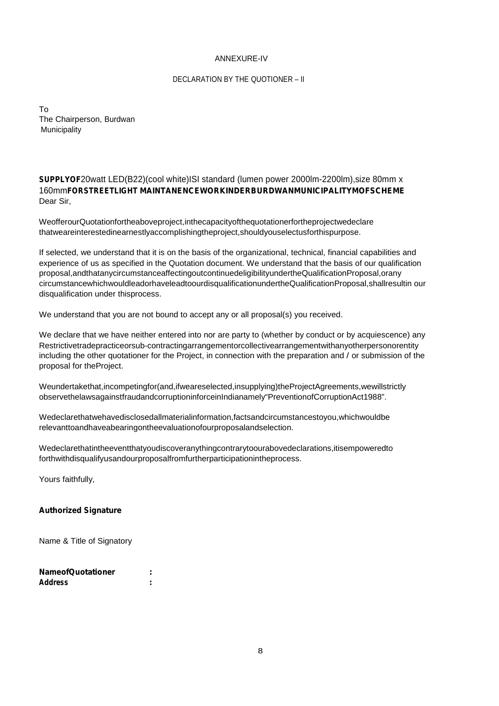#### ANNEXURE-IV

#### DECLARATION BY THE QUOTIONER – II

To The Chairperson, Burdwan Municipality

*SUPPLYOF*20watt LED(B22)(cool white)ISI standard (lumen power 2000lm-2200lm),size 80mm x 160mm*FORSTREETLIGHT MAINTANENCEWORKINDERBURDWANMUNICIPALITYMOFSCHEME* Dear Sir,

WeofferourQuotationfortheaboveproject,inthecapacityofthequotationerfortheprojectwedeclare thatweareinterestedinearnestlyaccomplishingtheproject,shouldyouselectusforthispurpose.

If selected, we understand that it is on the basis of the organizational, technical, financial capabilities and experience of us as specified in the Quotation document. We understand that the basis of our qualification proposal,andthatanycircumstanceaffectingoutcontinuedeligibilityundertheQualificationProposal,orany circumstancewhichwouldleadorhaveleadtoourdisqualificationundertheQualificationProposal,shallresultin our disqualification under thisprocess.

We understand that you are not bound to accept any or all proposal(s) you received.

We declare that we have neither entered into nor are party to (whether by conduct or by acquiescence) any Restrictivetradepracticeorsub-contractingarrangementorcollectivearrangementwithanyotherpersonorentity including the other quotationer for the Project, in connection with the preparation and / or submission of the proposal for theProject.

Weundertakethat,incompetingfor(and,ifweareselected,insupplying)theProjectAgreements,wewillstrictly observethelawsagainstfraudandcorruptioninforceinIndianamely"PreventionofCorruptionAct1988".

Wedeclarethatwehavedisclosedallmaterialinformation,factsandcircumstancestoyou,whichwouldbe relevanttoandhaveabearingontheevaluationofourproposalandselection.

Wedeclarethatintheeventthatyoudiscoveranythingcontrarytoourabovedeclarations,itisempoweredto forthwithdisqualifyusandourproposalfromfurtherparticipationintheprocess.

Yours faithfully,

#### *Authorized Signature*

Name & Title of Signatory

| <b>NameofQuotationer</b> |   |
|--------------------------|---|
| Address                  | ٠ |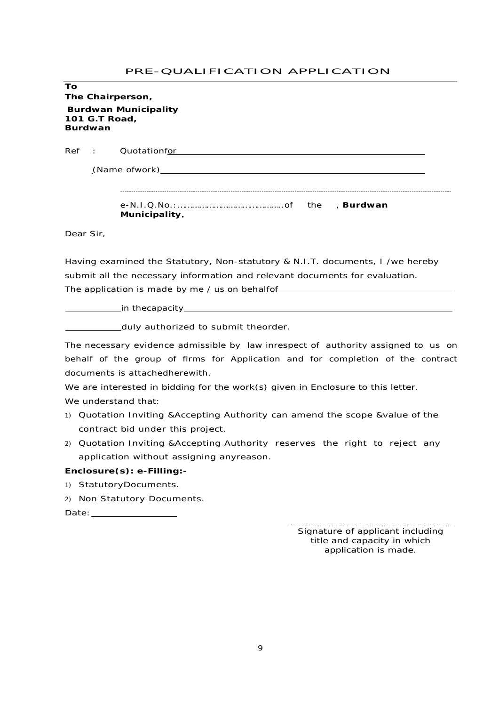# PRE-QUALIFICATION APPLICATION

| To<br>The Chairperson,      |                                                                                                                                                                                                                                                                                           |  |
|-----------------------------|-------------------------------------------------------------------------------------------------------------------------------------------------------------------------------------------------------------------------------------------------------------------------------------------|--|
|                             | <b>Burdwan Municipality</b>                                                                                                                                                                                                                                                               |  |
| 101 G.T Road,<br>Burdwan    |                                                                                                                                                                                                                                                                                           |  |
| Ref<br>$\ddot{\phantom{a}}$ | Quotationfor and a series of the control of the control of the control of the control of the control of the control of the control of the control of the control of the control of the control of the control of the control o                                                            |  |
|                             |                                                                                                                                                                                                                                                                                           |  |
|                             |                                                                                                                                                                                                                                                                                           |  |
|                             | Municipality.                                                                                                                                                                                                                                                                             |  |
| Dear Sir,                   |                                                                                                                                                                                                                                                                                           |  |
|                             | Having examined the Statutory, Non-statutory & N.I.T. documents, I /we hereby                                                                                                                                                                                                             |  |
|                             | submit all the necessary information and relevant documents for evaluation.                                                                                                                                                                                                               |  |
|                             | The application is made by me / us on behalfof__________________________________                                                                                                                                                                                                          |  |
|                             |                                                                                                                                                                                                                                                                                           |  |
|                             | duly authorized to submit theorder.                                                                                                                                                                                                                                                       |  |
|                             | The necessary evidence admissible by law inrespect of authority assigned to us on<br>behalf of the group of firms for Application and for completion of the contract<br>documents is attachedherewith.<br>We are interested in bidding for the work(s) given in Enclosure to this letter. |  |
| We understand that:         | 1) Quotation Inviting & Accepting Authority can amend the scope & value of the                                                                                                                                                                                                            |  |
|                             | contract bid under this project.                                                                                                                                                                                                                                                          |  |
|                             | 2) Quotation Inviting & Accepting Authority reserves the right to reject any<br>application without assigning anyreason.                                                                                                                                                                  |  |
|                             | Enclosure(s): e-Filling:-                                                                                                                                                                                                                                                                 |  |
| 1)                          | StatutoryDocuments.                                                                                                                                                                                                                                                                       |  |
| 2)                          | Non Statutory Documents.                                                                                                                                                                                                                                                                  |  |
|                             | Date: the contract of the contract of the contract of the contract of the contract of the contract of the contract of the contract of the contract of the contract of the contract of the contract of the contract of the cont                                                            |  |
|                             |                                                                                                                                                                                                                                                                                           |  |